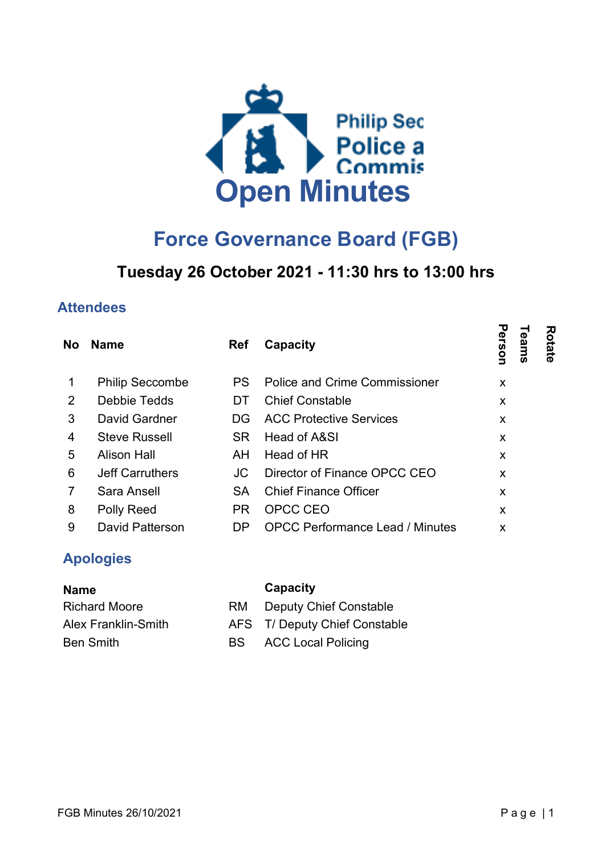

# Force Governance Board (FGB)

## Tuesday 26 October 2021 - 11:30 hrs to 13:00 hrs

#### **Attendees**

| <b>No</b>      | <b>Name</b>            | <b>Ref</b> | <b>Capacity</b>                        | Person<br>Rotate<br>eams |  |
|----------------|------------------------|------------|----------------------------------------|--------------------------|--|
|                | <b>Philip Seccombe</b> | PS.        | <b>Police and Crime Commissioner</b>   | X                        |  |
| 2              | Debbie Tedds           | DT         | <b>Chief Constable</b>                 | X                        |  |
| 3              | David Gardner          | DG.        | <b>ACC Protective Services</b>         | X                        |  |
| 4              | <b>Steve Russell</b>   | <b>SR</b>  | Head of A&SI                           | X                        |  |
| 5              | <b>Alison Hall</b>     | AH.        | Head of HR                             | X                        |  |
| 6              | <b>Jeff Carruthers</b> | JC         | Director of Finance OPCC CEO           | X                        |  |
| $\overline{7}$ | Sara Ansell            | SA         | <b>Chief Finance Officer</b>           | X                        |  |
| 8              | Polly Reed             | PR.        | OPCC CEO                               | x                        |  |
| 9              | <b>David Patterson</b> | DP.        | <b>OPCC Performance Lead / Minutes</b> | X                        |  |

#### Apologies

| <b>Name</b>         |      | Capacity                      |
|---------------------|------|-------------------------------|
| Richard Moore       | RM.  | <b>Deputy Chief Constable</b> |
| Alex Franklin-Smith |      | AFS T/ Deputy Chief Constable |
| <b>Ben Smith</b>    | BS - | <b>ACC Local Policing</b>     |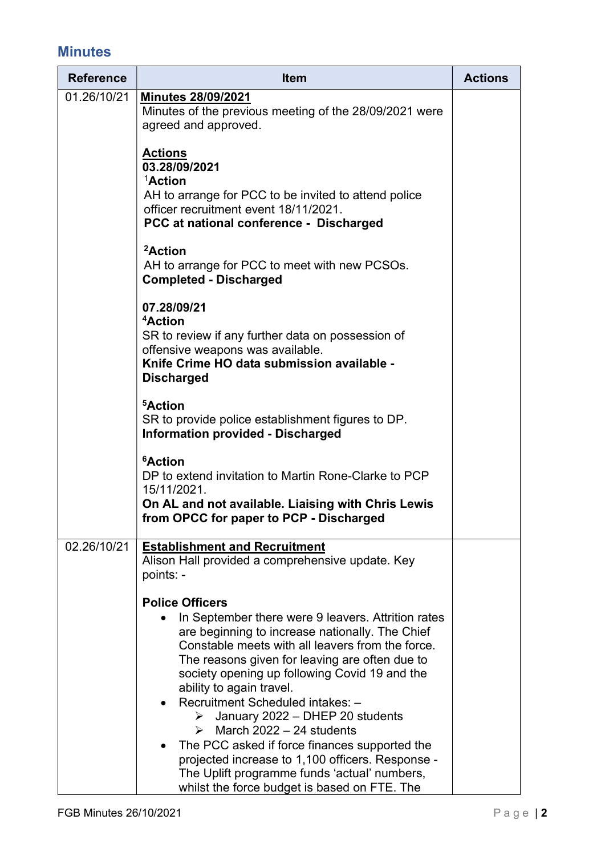### **Minutes**

| <b>Reference</b> | <b>Item</b>                                                                                                                                                                                                                                                                                                                                                                                                                                                                                                                                                                                                                                 | <b>Actions</b> |
|------------------|---------------------------------------------------------------------------------------------------------------------------------------------------------------------------------------------------------------------------------------------------------------------------------------------------------------------------------------------------------------------------------------------------------------------------------------------------------------------------------------------------------------------------------------------------------------------------------------------------------------------------------------------|----------------|
| 01.26/10/21      | <b>Minutes 28/09/2021</b><br>Minutes of the previous meeting of the 28/09/2021 were<br>agreed and approved.                                                                                                                                                                                                                                                                                                                                                                                                                                                                                                                                 |                |
|                  | <b>Actions</b><br>03.28/09/2021<br>$1$ Action<br>AH to arrange for PCC to be invited to attend police<br>officer recruitment event 18/11/2021.<br>PCC at national conference - Discharged                                                                                                                                                                                                                                                                                                                                                                                                                                                   |                |
|                  | <sup>2</sup> Action<br>AH to arrange for PCC to meet with new PCSOs.<br><b>Completed - Discharged</b>                                                                                                                                                                                                                                                                                                                                                                                                                                                                                                                                       |                |
|                  | 07.28/09/21<br><sup>4</sup> Action<br>SR to review if any further data on possession of<br>offensive weapons was available.<br>Knife Crime HO data submission available -<br><b>Discharged</b>                                                                                                                                                                                                                                                                                                                                                                                                                                              |                |
|                  | <sup>5</sup> Action<br>SR to provide police establishment figures to DP.<br><b>Information provided - Discharged</b>                                                                                                                                                                                                                                                                                                                                                                                                                                                                                                                        |                |
|                  | <sup>6</sup> Action<br>DP to extend invitation to Martin Rone-Clarke to PCP<br>15/11/2021.<br>On AL and not available. Liaising with Chris Lewis<br>from OPCC for paper to PCP - Discharged                                                                                                                                                                                                                                                                                                                                                                                                                                                 |                |
| 02.26/10/21      | <b>Establishment and Recruitment</b><br>Alison Hall provided a comprehensive update. Key<br>points: -                                                                                                                                                                                                                                                                                                                                                                                                                                                                                                                                       |                |
|                  | <b>Police Officers</b><br>In September there were 9 leavers. Attrition rates<br>are beginning to increase nationally. The Chief<br>Constable meets with all leavers from the force.<br>The reasons given for leaving are often due to<br>society opening up following Covid 19 and the<br>ability to again travel.<br>Recruitment Scheduled intakes: -<br>January 2022 - DHEP 20 students<br>$\triangleright$ March 2022 - 24 students<br>The PCC asked if force finances supported the<br>projected increase to 1,100 officers. Response -<br>The Uplift programme funds 'actual' numbers,<br>whilst the force budget is based on FTE. The |                |